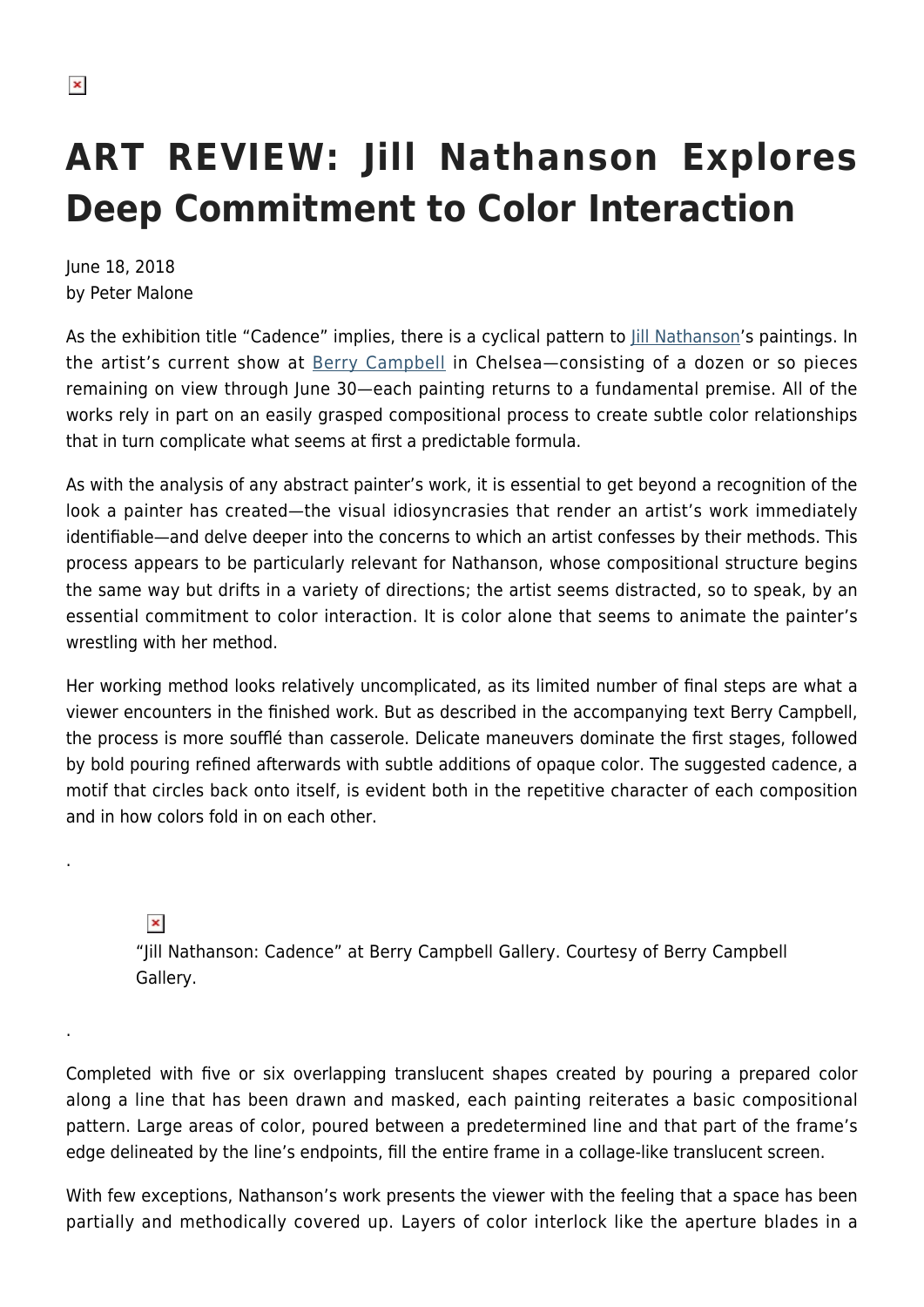## **ART REVIEW: Jill Nathanson Explores Deep Commitment to Color Interaction**

June 18, 2018 by Peter Malone

As the exhibition title "Cadence" implies, there is a cyclical pattern to *[Jill Nathanson](http://jillnathanson.com/)'s* paintings. In the artist's current show at [Berry Campbell](https://www.berrycampbell.com/) in Chelsea—consisting of a dozen or so pieces remaining on view through June 30—each painting returns to a fundamental premise. All of the works rely in part on an easily grasped compositional process to create subtle color relationships that in turn complicate what seems at first a predictable formula.

As with the analysis of any abstract painter's work, it is essential to get beyond a recognition of the look a painter has created—the visual idiosyncrasies that render an artist's work immediately identifiable—and delve deeper into the concerns to which an artist confesses by their methods. This process appears to be particularly relevant for Nathanson, whose compositional structure begins the same way but drifts in a variety of directions; the artist seems distracted, so to speak, by an essential commitment to color interaction. It is color alone that seems to animate the painter's wrestling with her method.

Her working method looks relatively uncomplicated, as its limited number of final steps are what a viewer encounters in the finished work. But as described in the accompanying text Berry Campbell, the process is more soufflé than casserole. Delicate maneuvers dominate the first stages, followed by bold pouring refined afterwards with subtle additions of opaque color. The suggested cadence, a motif that circles back onto itself, is evident both in the repetitive character of each composition and in how colors fold in on each other.

## $\pmb{\times}$

.

.

"Jill Nathanson: Cadence" at Berry Campbell Gallery. Courtesy of Berry Campbell Gallery.

Completed with five or six overlapping translucent shapes created by pouring a prepared color along a line that has been drawn and masked, each painting reiterates a basic compositional pattern. Large areas of color, poured between a predetermined line and that part of the frame's edge delineated by the line's endpoints, fill the entire frame in a collage-like translucent screen.

With few exceptions, Nathanson's work presents the viewer with the feeling that a space has been partially and methodically covered up. Layers of color interlock like the aperture blades in a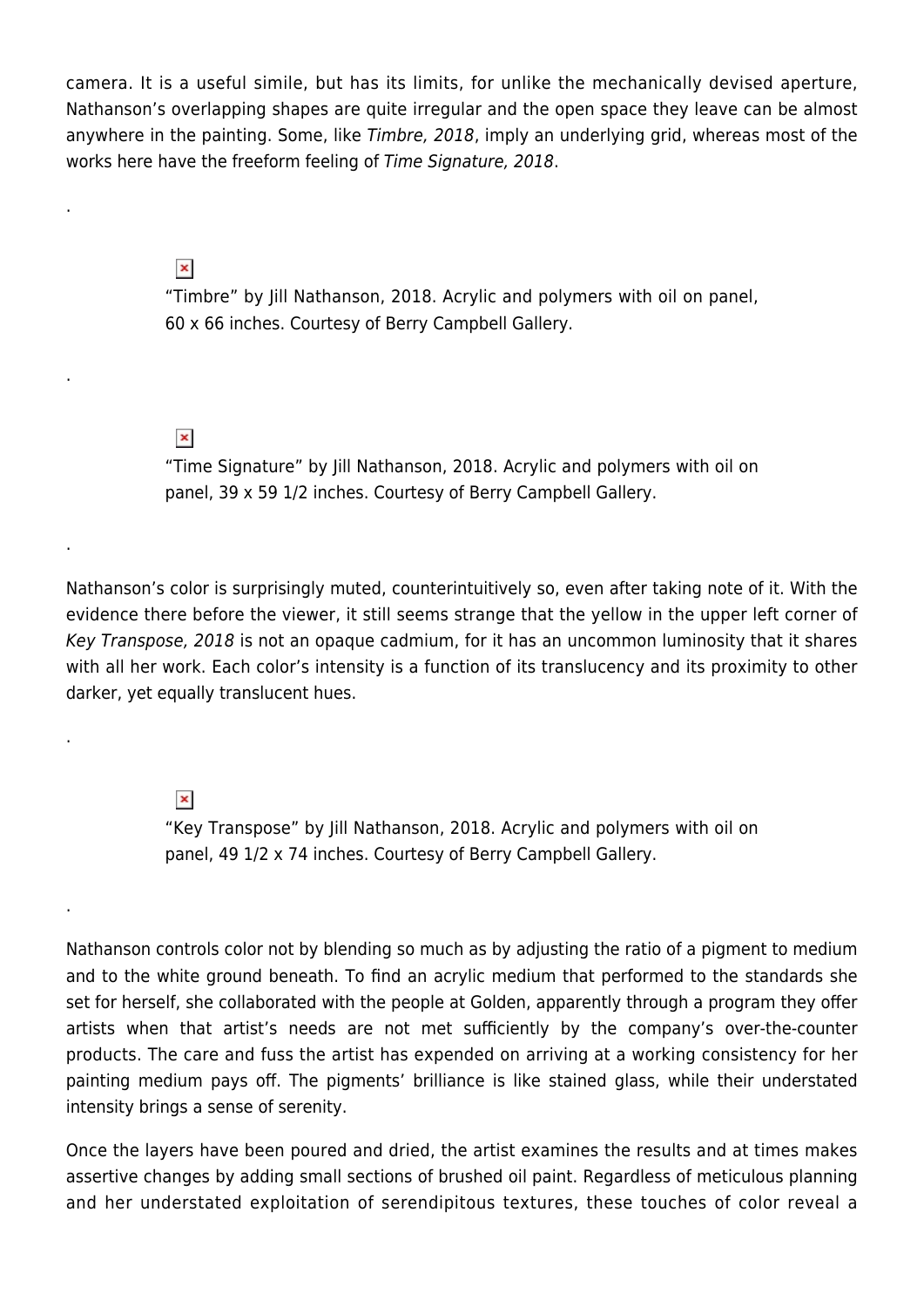camera. It is a useful simile, but has its limits, for unlike the mechanically devised aperture, Nathanson's overlapping shapes are quite irregular and the open space they leave can be almost anywhere in the painting. Some, like Timbre, 2018, imply an underlying grid, whereas most of the works here have the freeform feeling of Time Signature, 2018.

 $\pmb{\times}$ 

.

.

.

.

.

"Timbre" by Jill Nathanson, 2018. Acrylic and polymers with oil on panel
, 60 x 66 inches. Courtesy of Berry Campbell Gallery.

 $\pmb{\times}$ 

"Time Signature" by Jill Nathanson, 2018. Acrylic and polymers with oil on panel, 
39 x 59 1/2 inches. Courtesy of Berry Campbell Gallery.

Nathanson's color is surprisingly muted, counterintuitively so, even after taking note of it. With the evidence there before the viewer, it still seems strange that the yellow in the upper left corner of Key Transpose, 2018 is not an opaque cadmium, for it has an uncommon luminosity that it shares with all her work. Each color's intensity is a function of its translucency and its proximity to other darker, yet equally translucent hues.

 $\pmb{\times}$ 

"Key Transpose" by Jill Nathanson, 2018. Acrylic and polymers with oil on panel
, 49 1/2 x 74 inches. Courtesy of Berry Campbell Gallery.

Nathanson controls color not by blending so much as by adjusting the ratio of a pigment to medium and to the white ground beneath. To find an acrylic medium that performed to the standards she set for herself, she collaborated with the people at Golden, apparently through a program they offer artists when that artist's needs are not met sufficiently by the company's over-the-counter products. The care and fuss the artist has expended on arriving at a working consistency for her painting medium pays off. The pigments' brilliance is like stained glass, while their understated intensity brings a sense of serenity.

Once the layers have been poured and dried, the artist examines the results and at times makes assertive changes by adding small sections of brushed oil paint. Regardless of meticulous planning and her understated exploitation of serendipitous textures, these touches of color reveal a